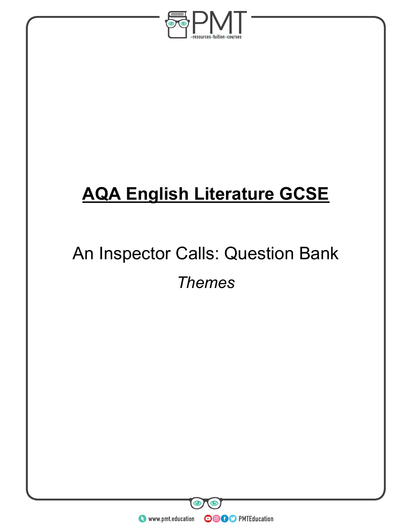

# **AQA English Literature GCSE**

# An Inspector Calls: Question Bank *Themes*

**O** www.pmt.education **COOC** PMTEducation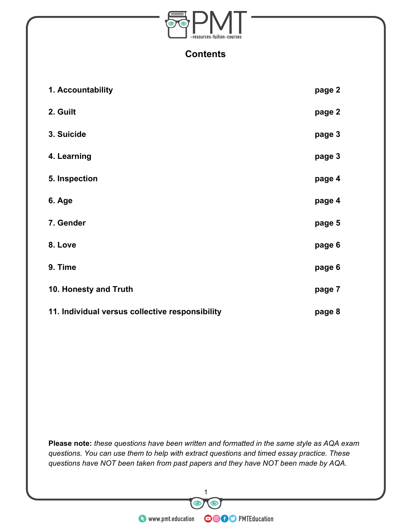

#### **Contents**

| 1. Accountability                               | page 2 |
|-------------------------------------------------|--------|
| 2. Guilt                                        | page 2 |
| 3. Suicide                                      | page 3 |
| 4. Learning                                     | page 3 |
| 5. Inspection                                   | page 4 |
| 6. Age                                          | page 4 |
| 7. Gender                                       | page 5 |
| 8. Love                                         | page 6 |
| 9. Time                                         | page 6 |
| 10. Honesty and Truth                           | page 7 |
| 11. Individual versus collective responsibility | page 8 |

**Please note:** *these questions have been written and formatted in the same style as AQA exam questions. You can use them to help with extract questions and timed essay practice. These questions have NOT been taken from past papers and they have NOT been made by AQA.*

 $\mathbf \odot$ 

THE SERVICE OF THE SERVICE OF THE SERVICE OF THE SERVICE OF THE SERVICE OF THE SERVICE OF THE SERVICE OF THE SERVICE OF THE SERVICE OF THE SERVICE OF THE SERVICE OF THE SERVICE OF THE SERVICE OF THE SERVICE OF THE SERVICE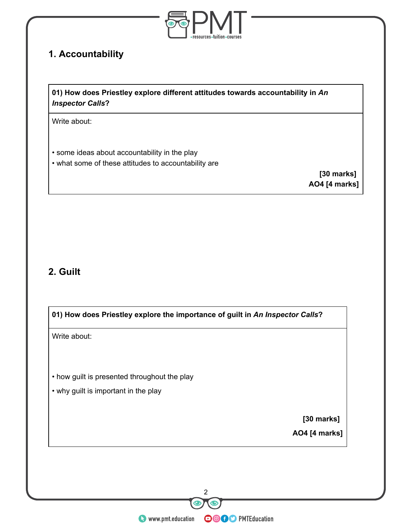

#### **1. Accountability**

**01) How does Priestley explore different attitudes towards accountability in** *An Inspector Calls***?**

Write about:

- some ideas about accountability in the play
- what some of these attitudes to accountability are

**[30 marks] AO4 [4 marks]**

#### **2. Guilt**

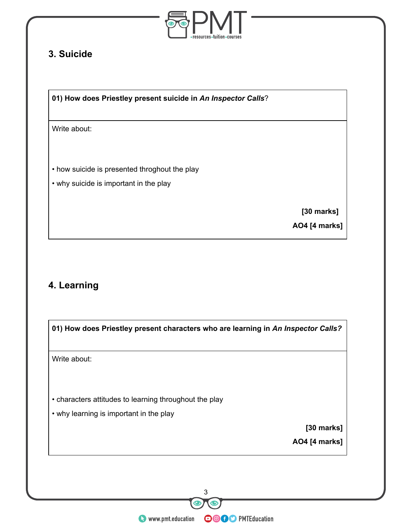

### **3. Suicide**

**01) How does Priestley present suicide in** *An Inspector Calls*?

Write about:

• how suicide is presented throghout the play

• why suicide is important in the play

 **[30 marks]**

**AO4 [4 marks]**

# **4. Learning**

| Write about: |                                                        |               |
|--------------|--------------------------------------------------------|---------------|
|              | • characters attitudes to learning throughout the play |               |
|              | • why learning is important in the play                |               |
|              |                                                        | [30 marks]    |
|              |                                                        | AO4 [4 marks] |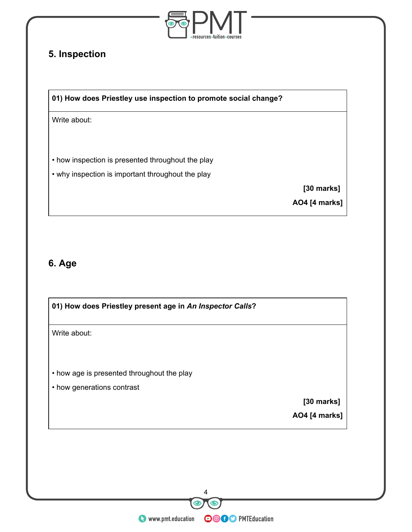

# **5. Inspection**

**01) How does Priestley use inspection to promote social change?**

Write about:

• how inspection is presented throughout the play

• why inspection is important throughout the play

 **[30 marks]**

**AO4 [4 marks]**

#### **6. Age**

| 01) How does Priestley present age in An Inspector Calls?                  |                      |  |
|----------------------------------------------------------------------------|----------------------|--|
| Write about:                                                               |                      |  |
| • how age is presented throughout the play                                 |                      |  |
| • how generations contrast                                                 |                      |  |
|                                                                            | [30 marks]           |  |
|                                                                            | <b>AO4 [4 marks]</b> |  |
|                                                                            |                      |  |
|                                                                            |                      |  |
|                                                                            |                      |  |
|                                                                            |                      |  |
| 4                                                                          |                      |  |
|                                                                            |                      |  |
| <b>Of D</b> PMTEducation<br>www.pmt.education<br>$\bf \Xi$<br>$\mathbf{R}$ |                      |  |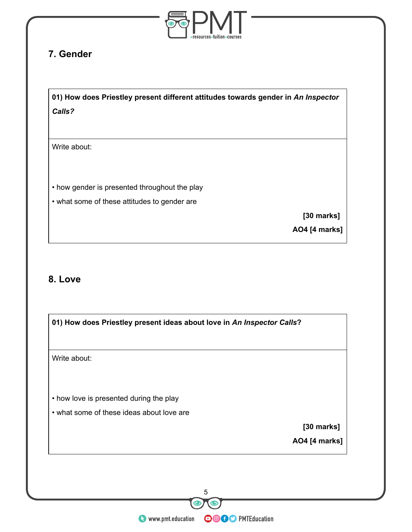

# **7. Gender**

**01) How does Priestley present different attitudes towards gender in** *An Inspector Calls?*

Write about:

• how gender is presented throughout the play

• what some of these attitudes to gender are

**[30 marks]**

**AO4 [4 marks]**

#### **8. Love**

| Write about: |                                           |
|--------------|-------------------------------------------|
|              |                                           |
|              |                                           |
|              | • how love is presented during the play   |
|              | • what some of these ideas about love are |
|              | [30 marks]                                |
|              | AO4 [4 marks]                             |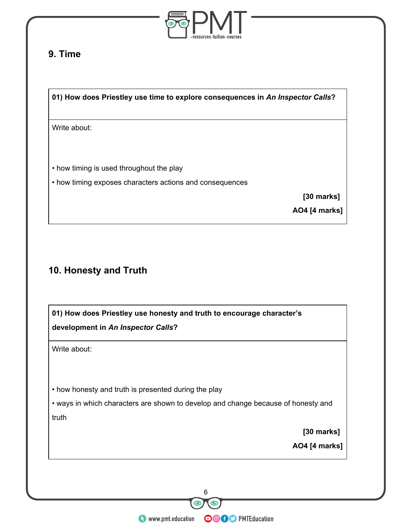

# **9. Time**

**01) How does Priestley use time to explore consequences in** *An Inspector Calls***?**

Write about:

- how timing is used throughout the play
- how timing exposes characters actions and consequences

**[30 marks]**

**AO4 [4 marks]**

# **10. Honesty and Truth**

|                                                      | 01) How does Priestley use honesty and truth to encourage character's             |
|------------------------------------------------------|-----------------------------------------------------------------------------------|
| development in An Inspector Calls?                   |                                                                                   |
| Write about:                                         |                                                                                   |
|                                                      |                                                                                   |
| • how honesty and truth is presented during the play |                                                                                   |
|                                                      | • ways in which characters are shown to develop and change because of honesty and |
| truth                                                |                                                                                   |
|                                                      | [30 marks]                                                                        |
|                                                      | <b>AO4</b> [4 marks]                                                              |